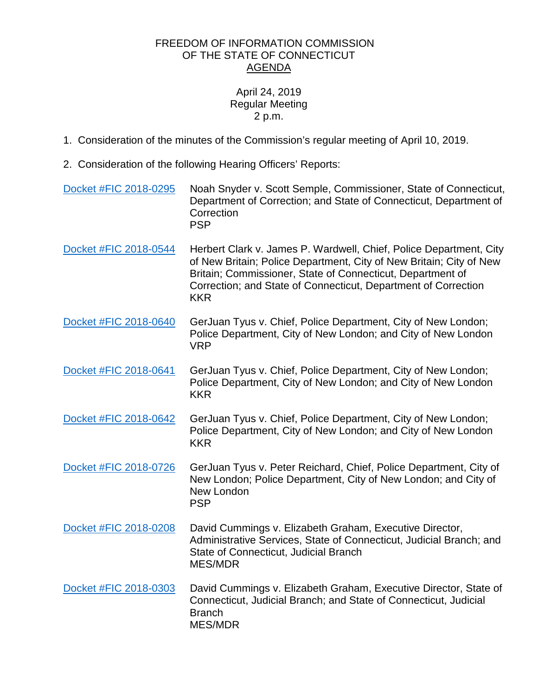## FREEDOM OF INFORMATION COMMISSION OF THE STATE OF CONNECTICUT AGENDA

## April 24, 2019 Regular Meeting 2 p.m.

- 1. Consideration of the minutes of the Commission's regular meeting of April 10, 2019.
- 2. Consideration of the following Hearing Officers' Reports:

| Docket #FIC 2018-0295 | Noah Snyder v. Scott Semple, Commissioner, State of Connecticut,<br>Department of Correction; and State of Connecticut, Department of<br>Correction<br><b>PSP</b>                                                                                                                       |
|-----------------------|-----------------------------------------------------------------------------------------------------------------------------------------------------------------------------------------------------------------------------------------------------------------------------------------|
| Docket #FIC 2018-0544 | Herbert Clark v. James P. Wardwell, Chief, Police Department, City<br>of New Britain; Police Department, City of New Britain; City of New<br>Britain; Commissioner, State of Connecticut, Department of<br>Correction; and State of Connecticut, Department of Correction<br><b>KKR</b> |
| Docket #FIC 2018-0640 | GerJuan Tyus v. Chief, Police Department, City of New London;<br>Police Department, City of New London; and City of New London<br><b>VRP</b>                                                                                                                                            |
| Docket #FIC 2018-0641 | GerJuan Tyus v. Chief, Police Department, City of New London;<br>Police Department, City of New London; and City of New London<br><b>KKR</b>                                                                                                                                            |
| Docket #FIC 2018-0642 | GerJuan Tyus v. Chief, Police Department, City of New London;<br>Police Department, City of New London; and City of New London<br><b>KKR</b>                                                                                                                                            |
| Docket #FIC 2018-0726 | GerJuan Tyus v. Peter Reichard, Chief, Police Department, City of<br>New London; Police Department, City of New London; and City of<br>New London<br><b>PSP</b>                                                                                                                         |
| Docket #FIC 2018-0208 | David Cummings v. Elizabeth Graham, Executive Director,<br>Administrative Services, State of Connecticut, Judicial Branch; and<br>State of Connecticut, Judicial Branch<br><b>MES/MDR</b>                                                                                               |
| Docket #FIC 2018-0303 | David Cummings v. Elizabeth Graham, Executive Director, State of<br>Connecticut, Judicial Branch; and State of Connecticut, Judicial<br><b>Branch</b><br><b>MES/MDR</b>                                                                                                                 |